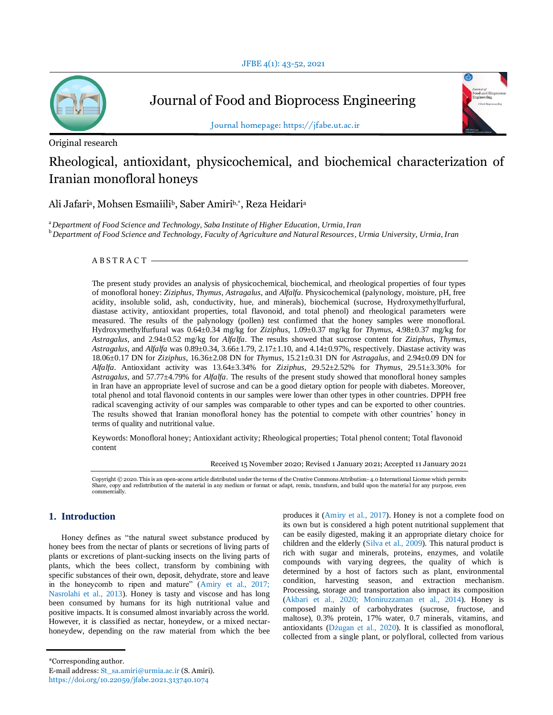

Journal of Food and Bioprocess Engineering



Journal homepage: https://jfabe.ut.ac.ir

Original research

# Rheological, antioxidant, physicochemical, and biochemical characterization of Iranian monofloral honeys

Ali Jafariª, Mohsen Esmaiiliʰ, Saber Amiriʰ,\*, Reza Heidariª

<sup>a</sup>*Department of Food Science and Technology, Saba Institute of Higher Education, Urmia, Iran* <sup>b</sup>*Department of Food Science and Technology, Faculty of Agriculture and Natural Resources, Urmia University, Urmia, Iran*

# $A$  B S T R A C T -

The present study provides an analysis of physicochemical, biochemical, and rheological properties of four types of monofloral honey: *Ziziphus*, *Thymus*, *Astragalus*, and *Alfalfa*. Physicochemical (palynology, moisture, pH, free acidity, insoluble solid, ash, conductivity, hue, and minerals), biochemical (sucrose, Hydroxymethylfurfural, diastase activity, antioxidant properties, total flavonoid, and total phenol) and rheological parameters were measured. The results of the palynology (pollen) test confirmed that the honey samples were monofloral. Hydroxymethylfurfural was 0.64±0.34 mg/kg for *Ziziphus*, 1.09±0.37 mg/kg for *Thymus*, 4.98±0.37 mg/kg for *Astragalus*, and 2.94±0.52 mg/kg for *Alfalfa*. The results showed that sucrose content for *Ziziphus*, *Thymus*, *Astragalus*, and *Alfalfa* was 0.89±0.34, 3.66±1.79, 2.17±1.10, and 4.14±0.97%, respectively. Diastase activity was 18.06±0.17 DN for *Ziziphus*, 16.36±2.08 DN for *Thymus*, 15.21±0.31 DN for *Astragalus*, and 2.94±0.09 DN for *Alfalfa*. Antioxidant activity was 13.64±3.34% for *Ziziphus*, 29.52±2.52% for *Thymus*, 29.51±3.30% for *Astragalus*, and 57.77±4.79% for *Alfalfa*. The results of the present study showed that monofloral honey samples in Iran have an appropriate level of sucrose and can be a good dietary option for people with diabetes. Moreover, total phenol and total flavonoid contents in our samples were lower than other types in other countries. DPPH free radical scavenging activity of our samples was comparable to other types and can be exported to other countries. The results showed that Iranian monofloral honey has the potential to compete with other countries' honey in terms of quality and nutritional value.

Keywords: Monofloral honey; Antioxidant activity; Rheological properties; Total phenol content; Total flavonoid content

Received 15 November 2020; Revised 1 January 2021; Accepted 11 January 2021

Copyright © 2020. This is an open-access article distributed under the terms of the Creative Commons Attribution- 4.0 International License which permits Share, copy and redistribution of the material in any medium or format or adapt, remix, transform, and build upon the materia l for any purpose, even commercially.

# **1. Introduction**

Honey defines as "the natural sweet substance produced by honey bees from the nectar of plants or secretions of living parts of plants or excretions of plant-sucking insects on the living parts of plants, which the bees collect, transform by combining with specific substances of their own, deposit, dehydrate, store and leave in the honeycomb to ripen and mature" (Amiry et al., 2017; Nasrolahi et al., 2013). Honey is tasty and viscose and has long been consumed by humans for its high nutritional value and positive impacts. It is consumed almost invariably across the world. However, it is classified as nectar, honeydew, or a mixed nectarhoneydew, depending on the raw material from which the bee produces it (Amiry et al., 2017). Honey is not a complete food on its own but is considered a high potent nutritional supplement that can be easily digested, making it an appropriate dietary choice for children and the elderly (Silva et al., 2009). This natural product is rich with sugar and minerals, proteins, enzymes, and volatile compounds with varying degrees, the quality of which is determined by a host of factors such as plant, environmental condition, harvesting season, and extraction mechanism. Processing, storage and transportation also impact its composition (Akbari et al., 2020; Moniruzzaman et al., 2014). Honey is composed mainly of carbohydrates (sucrose, fructose, and maltose), 0.3% protein, 17% water, 0.7 minerals, vitamins, and antioxidants (Dżugan et al., 2020). It is classified as monofloral, collected from a single plant, or polyfloral, collected from various

<sup>\*</sup>Corresponding author.

E-mail address: St\_sa.amiri@urmia.ac.ir (S. Amiri). https://doi.org/10.22059/jfabe.2021.313740.1074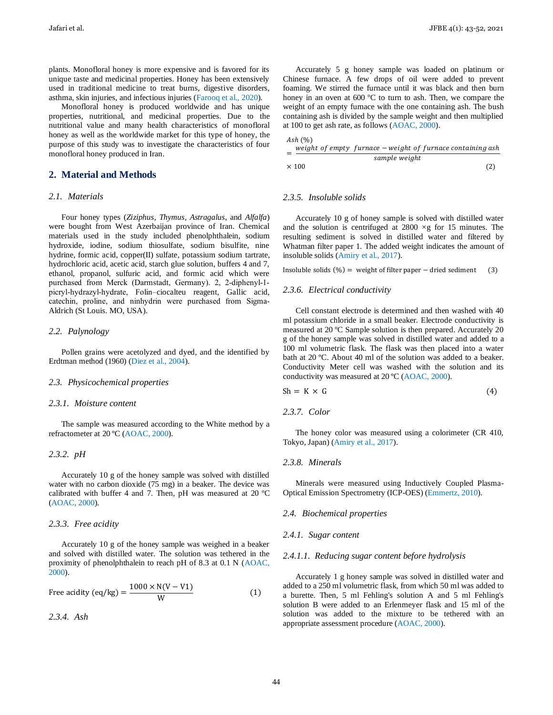plants. Monofloral honey is more expensive and is favored for its unique taste and medicinal properties. Honey has been extensively used in traditional medicine to treat burns, digestive disorders, asthma, skin injuries, and infectious injuries (Farooq et al., 2020).

Monofloral honey is produced worldwide and has unique properties, nutritional, and medicinal properties. Due to the nutritional value and many health characteristics of monofloral honey as well as the worldwide market for this type of honey, the purpose of this study was to investigate the characteristics of four monofloral honey produced in Iran.

# **2. Material and Methods**

#### *2.1. Materials*

Four honey types (*Ziziphus*, *Thymus*, *Astragalus*, and *Alfalfa*) were bought from West Azerbaijan province of Iran. Chemical materials used in the study included phenolphthalein, sodium hydroxide, iodine, sodium thiosulfate, sodium bisulfite, nine hydrine, formic acid, copper(II) sulfate, potassium sodium tartrate, hydrochloric acid, acetic acid, starch glue solution, buffers 4 and 7, ethanol, propanol, sulfuric acid, and formic acid which were purchased from Merck (Darmstadt, Germany). 2, 2‐diphenyl‐1‐ picryl‐hydrazyl‐hydrate, Folin–ciocalteu reagent, Gallic acid, catechin, proline, and ninhydrin were purchased from Sigma-Aldrich (St Louis. MO, USA).

## *2.2. Palynology*

Pollen grains were acetolyzed and dyed, and the identified by Erdtman method (1960) (Diez et al., 2004).

#### *2.3. Physicochemical properties*

## *2.3.1. Moisture content*

The sample was measured according to the White method by a refractometer at 20 ºC (AOAC, 2000).

#### *2.3.2. pH*

Accurately 10 g of the honey sample was solved with distilled water with no carbon dioxide (75 mg) in a beaker. The device was calibrated with buffer 4 and 7. Then, pH was measured at 20 ºC (AOAC, 2000).

#### *2.3.3. Free acidity*

Accurately 10 g of the honey sample was weighed in a beaker and solved with distilled water. The solution was tethered in the proximity of phenolphthalein to reach pH of 8.3 at 0.1 N (AOAC, 2000).

Free acidity (eq/kg) = 
$$
\frac{1000 \times N(V - V1)}{W}
$$
 (1)

*2.3.4. Ash*

Accurately 5 g honey sample was loaded on platinum or Chinese furnace. A few drops of oil were added to prevent foaming. We stirred the furnace until it was black and then burn honey in an oven at 600 °C to turn to ash. Then, we compare the weight of an empty furnace with the one containing ash. The bush containing ash is divided by the sample weight and then multiplied at 100 to get ash rate, as follows (AOAC, 2000).

$$
Ash (%)
$$
  
weight of empty furnace – v

$$
= \frac{\text{weight of empty } furnace - weight of furnace containing ash}{\text{sample weight}}
$$
  
× 100 (2)

#### *2.3.5. Insoluble solids*

Accurately 10 g of honey sample is solved with distilled water and the solution is centrifuged at  $2800 \times g$  for 15 minutes. The resulting sediment is solved in distilled water and filtered by Whatman filter paper 1. The added weight indicates the amount of insoluble solids (Amiry et al., 2017).

Insoluble solids  $(\% )$  = weight of filter paper – dried sediment (3)

#### *2.3.6. Electrical conductivity*

Cell constant electrode is determined and then washed with 40 ml potassium chloride in a small beaker. Electrode conductivity is measured at 20 ºC Sample solution is then prepared. Accurately 20 g of the honey sample was solved in distilled water and added to a 100 ml volumetric flask. The flask was then placed into a water bath at 20 ºC. About 40 ml of the solution was added to a beaker. Conductivity Meter cell was washed with the solution and its conductivity was measured at 20 ºC (AOAC, 2000).

$$
Sh = K \times G \tag{4}
$$

*2.3.7. Color*

The honey color was measured using a colorimeter (CR 410, Tokyo, Japan) (Amiry et al., 2017).

# *2.3.8. Minerals*

Minerals were measured using Inductively Coupled Plasma-Optical Emission Spectrometry (ICP-OES) (Emmertz, 2010).

#### *2.4. Biochemical properties*

#### *2.4.1. Sugar content*

#### *2.4.1.1. Reducing sugar content before hydrolysis*

Accurately 1 g honey sample was solved in distilled water and added to a 250 ml volumetric flask, from which 50 ml was added to a burette. Then, 5 ml Fehling's solution A and 5 ml Fehling's solution B were added to an Erlenmeyer flask and 15 ml of the solution was added to the mixture to be tethered with an appropriate assessment procedure (AOAC, 2000).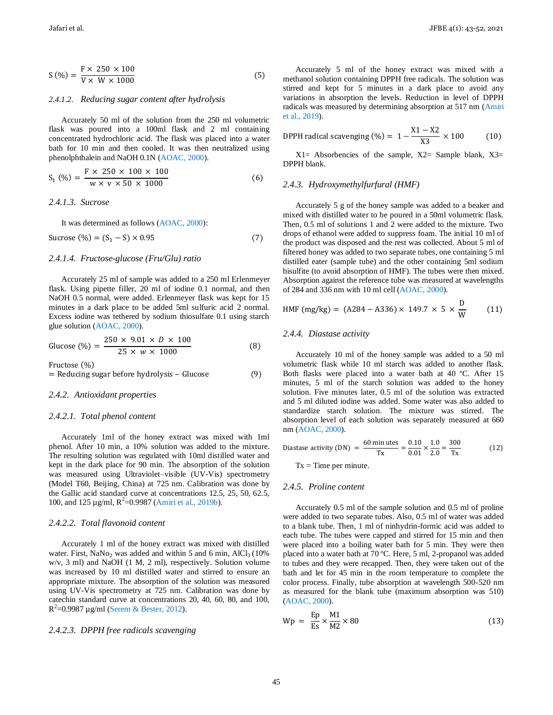$$
S(\%) = \frac{F \times 250 \times 100}{V \times W \times 1000}
$$
 (5)

#### *2.4.1.2. Reducing sugar content after hydrolysis*

Accurately 50 ml of the solution from the 250 ml volumetric flask was poured into a 100ml flask and 2 ml containing concentrated hydrochloric acid. The flask was placed into a water bath for 10 min and then cooled. It was then neutralized using phenolphthalein and NaOH 0.1N (AOAC, 2000).

$$
S_1 (\% ) = \frac{F \times 250 \times 100 \times 100}{W \times V \times 50 \times 1000}
$$
 (6)

## *2.4.1.3. Sucrose*

It was determined as follows (AOAC, 2000):

Sucrose  $(\% ) = (S_1 - S) \times 0.95$  (7)

## *2.4.1.4. Fructose-glucose (Fru/Glu) ratio*

Accurately 25 ml of sample was added to a 250 ml Erlenmeyer flask. Using pipette filler, 20 ml of iodine 0.1 normal, and then NaOH 0.5 normal, were added. Erlenmeyer flask was kept for 15 minutes in a dark place to be added 5ml sulfuric acid 2 normal. Excess iodine was tethered by sodium thiosulfate 0.1 using starch glue solution (AOAC, 2000).

Glucose (
$$
\%
$$
) = 
$$
\frac{250 \times 9.01 \times D \times 100}{25 \times w \times 1000}
$$
 (8)

Fructose  $(\%)$ 

 $=$  Reducing sugar before hydrolysis – Glucose (9)

#### *2.4.2. Antioxidant properties*

#### *2.4.2.1. Total phenol content*

Accurately 1ml of the honey extract was mixed with 1ml phenol. After 10 min, a 10% solution was added to the mixture. The resulting solution was regulated with 10ml distilled water and kept in the dark place for 90 min. The absorption of the solution was measured using Ultraviolet–visible (UV-Vis) spectrometry (Model T60, Beijing, China) at 725 nm. Calibration was done by the Gallic acid standard curve at concentrations 12.5, 25, 50, 62.5, 100, and 125  $\mu$ g/ml, R<sup>2</sup>=0.9987 (Amiri et al., 2019b).

#### *2.4.2.2. Total flavonoid content*

Accurately 1 ml of the honey extract was mixed with distilled water. First, NaNo<sub>2</sub> was added and within 5 and 6 min,  $AlCl<sub>3</sub> (10%$ w/v, 3 ml) and NaOH (1 M, 2 ml), respectively. Solution volume was increased by 10 ml distilled water and stirred to ensure an appropriate mixture. The absorption of the solution was measured using UV-Vis spectrometry at 725 nm. Calibration was done by catechin standard curve at concentrations 20, 40, 60, 80, and 100,  $R^2$ =0.9987 µg/ml (Serem & Bester, 2012).

## *2.4.2.3. DPPH free radicals scavenging*

Accurately 5 ml of the honey extract was mixed with a methanol solution containing DPPH free radicals. The solution was stirred and kept for 5 minutes in a dark place to avoid any variations in absorption the levels. Reduction in level of DPPH radicals was measured by determining absorption at 517 nm (Amiri et al., 2019).

$$
\text{DPPH radical scanning } (\%) = 1 - \frac{X1 - X2}{X3} \times 100 \tag{10}
$$

 $X1=$  Absorbencies of the sample,  $X2=$  Sample blank,  $X3=$ DPPH blank.

## *2.4.3. Hydroxymethylfurfural (HMF)*

Accurately 5 g of the honey sample was added to a beaker and mixed with distilled water to be poured in a 50ml volumetric flask. Then, 0.5 ml of solutions 1 and 2 were added to the mixture. Two drops of ethanol were added to suppress foam. The initial 10 ml of the product was disposed and the rest was collected. About 5 ml of filtered honey was added to two separate tubes, one containing 5 ml distilled eater (sample tube) and the other containing 5ml sodium bisulfite (to avoid absorption of HMF). The tubes were then mixed. Absorption against the reference tube was measured at wavelengths of 284 and 336 nm with 10 ml cell (AOAC, 2000).

HMF (mg/kg) = 
$$
(A284 - A336) \times 149.7 \times 5 \times \frac{D}{W}
$$
 (11)

## *2.4.4. Diastase activity*

Accurately 10 ml of the honey sample was added to a 50 ml volumetric flask while 10 ml starch was added to another flask. Both flasks were placed into a water bath at 40 ºC. After 15 minutes, 5 ml of the starch solution was added to the honey solution. Five minutes later, 0.5 ml of the solution was extracted and 5 ml diluted iodine was added. Some water was also added to standardize starch solution. The mixture was stirred. The absorption level of each solution was separately measured at 660 nm (AOAC, 2000).

Diastase activity (DN) = 
$$
\frac{60 \text{ minutes}}{Tx} = \frac{0.10}{0.01} \times \frac{1.0}{2.0} = \frac{300}{Tx}
$$
 (12)  
Tx = Time per minute.

#### *2.4.5. Proline content*

Accurately 0.5 ml of the sample solution and 0.5 ml of proline were added to two separate tubes. Also, 0.5 ml of water was added to a blank tube. Then, 1 ml of ninhydrin-formic acid was added to each tube. The tubes were capped and stirred for 15 min and then were placed into a boiling water bath for 5 min. They were then placed into a water bath at 70 ºC. Here, 5 ml, 2-propanol was added to tubes and they were recapped. Then, they were taken out of the bath and let for 45 min in the room temperature to complete the color process. Finally, tube absorption at wavelength 500-520 nm as measured for the blank tube (maximum absorption was 510) (AOAC, 2000).

$$
Wp = \frac{Ep}{Es} \times \frac{M1}{M2} \times 80
$$
\n(13)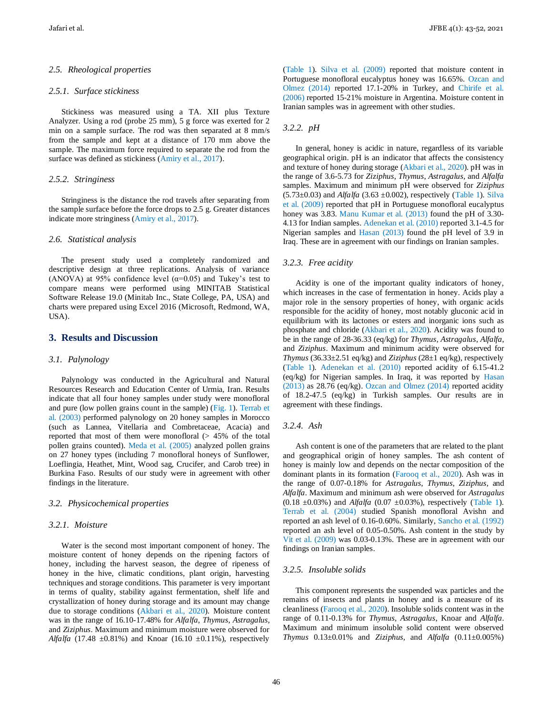#### *2.5. Rheological properties*

## *2.5.1. Surface stickiness*

Stickiness was measured using a TA. XII plus Texture Analyzer. Using a rod (probe 25 mm), 5 g force was exerted for 2 min on a sample surface. The rod was then separated at 8 mm/s from the sample and kept at a distance of 170 mm above the sample. The maximum force required to separate the rod from the surface was defined as stickiness (Amiry et al., 2017).

## *2.5.2. Stringiness*

Stringiness is the distance the rod travels after separating from the sample surface before the force drops to 2.5 g. Greater distances indicate more stringiness (Amiry et al., 2017).

#### *2.6. Statistical analysis*

The present study used a completely randomized and descriptive design at three replications. Analysis of variance (ANOVA) at 95% confidence level ( $\alpha$ =0.05) and Tukey's test to compare means were performed using MINITAB Statistical Software Release 19.0 (Minitab Inc., State College, PA, USA) and charts were prepared using Excel 2016 (Microsoft, Redmond, WA, USA).

## **3. Results and Discussion**

#### *3.1. Palynology*

Palynology was conducted in the Agricultural and Natural Resources Research and Education Center of Urmia, Iran. Results indicate that all four honey samples under study were monofloral and pure (low pollen grains count in the sample) (Fig. 1). Terrab et al. (2003) performed palynology on 20 honey samples in Morocco (such as Lannea, Vitellaria and Combretaceae, Acacia) and reported that most of them were monofloral (> 45% of the total pollen grains counted). Meda et al. (2005) analyzed pollen grains on 27 honey types (including 7 monofloral honeys of Sunflower, Loeflingia, Heathet, Mint, Wood sag, Crucifer, and Carob tree) in Burkina Faso. Results of our study were in agreement with other findings in the literature.

#### *3.2. Physicochemical properties*

#### *3.2.1. Moisture*

Water is the second most important component of honey. The moisture content of honey depends on the ripening factors of honey, including the harvest season, the degree of ripeness of honey in the hive, climatic conditions, plant origin, harvesting techniques and storage conditions. This parameter is very important in terms of quality, stability against fermentation, shelf life and crystallization of honey during storage and its amount may change due to storage conditions (Akbari et al., 2020). Moisture content was in the range of 16.10-17.48% for *Alfalfa*, *Thymus*, *Astragalus,* and *Ziziphus*. Maximum and minimum moisture were observed for *Alfalfa* (17.48  $\pm 0.81\%$ ) and Knoar (16.10  $\pm 0.11\%$ ), respectively

(Table 1). Silva et al. (2009) reported that moisture content in Portuguese monofloral eucalyptus honey was 16.65%. Ozcan and Olmez (2014) reported 17.1-20% in Turkey, and Chirife et al. (2006) reported 15-21% moisture in Argentina. Moisture content in Iranian samples was in agreement with other studies.

## *3.2.2. pH*

In general, honey is acidic in nature, regardless of its variable geographical origin. pH is an indicator that affects the consistency and texture of honey during storage (Akbari et al., 2020). pH was in the range of 3.6-5.73 for *Ziziphus*, *Thymus*, *Astragalus,* and *Alfalfa* samples. Maximum and minimum pH were observed for *Ziziphus*  $(5.73\pm0.03)$  and *Alfalfa*  $(3.63\pm0.002)$ , respectively (Table 1). Silva et al. (2009) reported that pH in Portuguese monofloral eucalyptus honey was 3.83. Manu Kumar et al. (2013) found the pH of 3.30-4.13 for Indian samples. Adenekan et al. (2010) reported 3.1-4.5 for Nigerian samples and Hasan (2013) found the pH level of 3.9 in Iraq. These are in agreement with our findings on Iranian samples.

## *3.2.3. Free acidity*

Acidity is one of the important quality indicators of honey, which increases in the case of fermentation in honey. Acids play a major role in the sensory properties of honey, with organic acids responsible for the acidity of honey, most notably gluconic acid in equilibrium with its lactones or esters and inorganic ions such as phosphate and chloride (Akbari et al., 2020). Acidity was found to be in the range of 28-36.33 (eq/kg) for *Thymus*, *Astragalus*, *Alfalfa*, and *Ziziphus*. Maximum and minimum acidity were observed for *Thymus* (36.33±2.51 eq/kg) and *Ziziphus* (28±1 eq/kg), respectively (Table 1). Adenekan et al. (2010) reported acidity of 6.15-41.2 (eq/kg) for Nigerian samples. In Iraq, it was reported by Hasan (2013) as 28.76 (eq/kg). Ozcan and Olmez (2014) reported acidity of 18.2-47.5 (eq/kg) in Turkish samples. Our results are in agreement with these findings.

## *3.2.4. Ash*

Ash content is one of the parameters that are related to the plant and geographical origin of honey samples. The ash content of honey is mainly low and depends on the nectar composition of the dominant plants in its formation (Farooq et al., 2020). Ash was in the range of 0.07-0.18% for *Astragalus*, *Thymus*, *Ziziphus,* and *Alfalfa*. Maximum and minimum ash were observed for *Astragalus* (0.18 ±0.03%) and *Alfalfa* (0.07 ±0.03%), respectively (Table 1). Terrab et al. (2004) studied Spanish monofloral Avishn and reported an ash level of 0.16-0.60%. Similarly, Sancho et al. (1992) reported an ash level of 0.05-0.50%. Ash content in the study by Vit et al. (2009) was 0.03-0.13%. These are in agreement with our findings on Iranian samples.

## *3.2.5. Insoluble solids*

This component represents the suspended wax particles and the remains of insects and plants in honey and is a measure of its cleanliness (Farooq et al., 2020). Insoluble solids content was in the range of 0.11-0.13% for *Thymus*, *Astragalus*, Knoar and *Alfalfa*. Maximum and minimum insoluble solid content were observed *Thymus* 0.13±0.01% and *Ziziphus,* and *Alfalfa* (0.11±0.005%)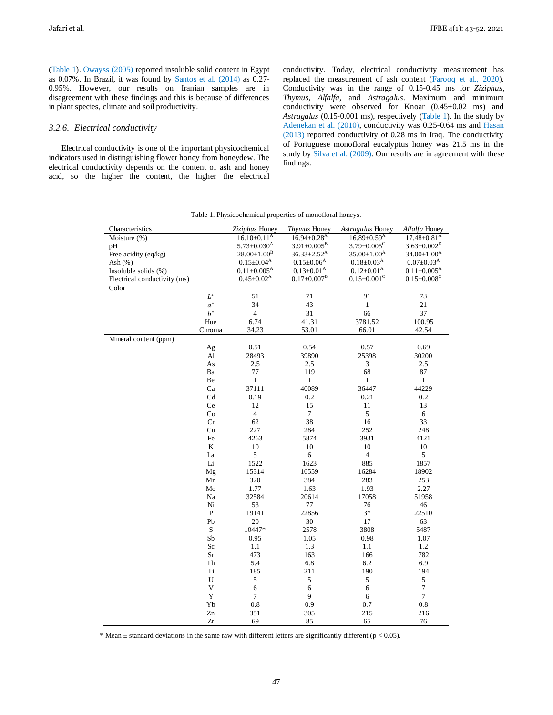(Table 1). Owayss (2005) reported insoluble solid content in Egypt as 0.07%. In Brazil, it was found by Santos et al. (2014) as 0.27- 0.95%. However, our results on Iranian samples are in disagreement with these findings and this is because of differences in plant species, climate and soil productivity.

## *3.2.6. Electrical conductivity*

Electrical conductivity is one of the important physicochemical indicators used in distinguishing flower honey from honeydew. The electrical conductivity depends on the content of ash and honey acid, so the higher the content, the higher the electrical conductivity. Today, electrical conductivity measurement has replaced the measurement of ash content (Farooq et al., 2020). Conductivity was in the range of 0.15-0.45 ms for *Ziziphus*, *Thymus*, *Alfalfa*, and *Astragalus*. Maximum and minimum conductivity were observed for Knoar  $(0.45\pm0.02$  ms) and *Astragalus* (0.15-0.001 ms), respectively (Table 1). In the study by Adenekan et al. (2010), conductivity was 0.25-0.64 ms and Hasan (2013) reported conductivity of 0.28 ms in Iraq. The conductivity of Portuguese monofloral eucalyptus honey was 21.5 ms in the study by Silva et al. (2009). Our results are in agreement with these findings.

| Characteristics              |              | Ziziphus Honey                | Thymus Honey                  | Astragalus Honey              | Alfalfa Honey                 |
|------------------------------|--------------|-------------------------------|-------------------------------|-------------------------------|-------------------------------|
| Moisture (%)                 |              | $16.10 \pm 0.11^{\text{A}}$   | $16.94 \pm 0.28$ <sup>A</sup> | $16.89 \pm 0.59$ <sup>A</sup> | $17.48 \pm 0.81$ <sup>A</sup> |
| рH                           |              | $5.73 \pm 0.030$ <sup>A</sup> | $3.91 \pm 0.005^{\rm B}$      | $3.79 \pm 0.005^{\circ}$      | $3.63 \pm 0.002^D$            |
| Free acidity (eq/kg)         |              | $28.00 \pm 1.00^{\rm B}$      | $36.33 \pm 2.52^A$            | $35.00 \pm 1.00$ <sup>A</sup> | $34.00 \pm 1.00^{\text{A}}$   |
| Ash $(% )$                   |              | $0.15 \pm 0.04^{\rm A}$       | $0.15 \pm 0.06$ <sup>A</sup>  | $0.18 \pm 0.03$ <sup>A</sup>  | $0.07\pm0.03^{\mathrm{A}}$    |
| Insoluble solids (%)         |              | $0.11 \pm 0.005$ <sup>A</sup> | $0.13 \pm 0.01^{\rm A}$       | $0.12 \pm 0.01^{\text{A}}$    | $0.11 \pm 0.005$ <sup>A</sup> |
| Electrical conductivity (ms) |              | $0.45 \pm 0.02^{\text{A}}$    | $0.17 \pm 0.007^{\rm B}$      | $0.15 \pm 0.001$ <sup>C</sup> | $0.15 \pm 0.008$ <sup>C</sup> |
| Color                        |              |                               |                               |                               |                               |
|                              | $L^*$        | 51                            | 71                            | 91                            | 73                            |
|                              | $a^*$        | 34                            | 43                            | $\mathbf{1}$                  | $21\,$                        |
|                              | $b^\ast$     | $\overline{4}$                | 31                            | 66                            | 37                            |
|                              | Hue          | 6.74                          | 41.31                         | 3781.52                       | 100.95                        |
|                              | Chroma       | 34.23                         | 53.01                         | 66.01                         | 42.54                         |
| Mineral content (ppm)        |              |                               |                               |                               |                               |
|                              | Ag           | 0.51                          | 0.54                          | 0.57                          | 0.69                          |
|                              | Al           | 28493                         | 39890                         | 25398                         | 30200                         |
|                              | As           | $2.5\,$                       | 2.5                           | $\ensuremath{\mathfrak{Z}}$   | 2.5                           |
|                              | Ba           | $77 \,$                       | 119                           | 68                            | 87                            |
|                              | Be           | $\mathbf{1}$                  | $\mathbf{1}$                  | $\mathbf{1}$                  | $\mathbf{1}$                  |
|                              | Ca           | 37111                         | 40089                         | 36447                         | 44229                         |
|                              | Cd           | 0.19                          | 0.2                           | 0.21                          | 0.2                           |
|                              | Ce           | 12                            | 15                            | 11                            | 13                            |
|                              | Co           | $\overline{\mathbf{4}}$       | $\boldsymbol{7}$              | $\sqrt{5}$                    | 6                             |
|                              | Cr           | 62                            | 38                            | 16                            | 33                            |
|                              | Cu           | 227                           | 284                           | 252                           | 248                           |
|                              | Fe           | 4263                          | 5874                          | 3931                          | 4121                          |
|                              | ${\bf K}$    | $10\,$                        | $10\,$                        | $10\,$                        | $10\,$                        |
|                              | La           | $\sqrt{5}$                    | $\epsilon$                    | $\overline{4}$                | $\mathfrak{S}$                |
|                              | $\rm Li$     | 1522                          | 1623                          | 885                           | 1857                          |
|                              | Mg           | 15314                         | 16559                         | 16284                         | 18902                         |
|                              | Mn           | 320                           | 384                           | 283                           | 253                           |
|                              | Mo           | 1.77                          | 1.63                          | 1.93                          | 2.27                          |
|                              | Na           | 32584                         | 20614                         | 17058                         | 51958                         |
|                              | $\rm Ni$     | 53                            | $77\,$                        | 76                            | 46                            |
|                              | $\, {\bf P}$ | 19141                         | 22856                         | $3*$                          | 22510                         |
|                              | Pb           | $20\,$                        | $30\,$                        | $17\,$                        | 63                            |
|                              | ${\bf S}$    | 10447*                        | 2578                          | 3808                          | 5487                          |
|                              | ${\rm Sb}$   | 0.95                          | 1.05                          | 0.98                          | 1.07                          |
|                              | $\rm Sc$     | 1.1                           | 1.3                           | 1.1                           | 1.2                           |
|                              | $\rm Sr$     | 473                           | 163                           | 166                           | 782                           |
|                              | Th           | 5.4                           | 6.8                           | 6.2                           | 6.9                           |
|                              | Ti           | 185                           | 211                           | 190                           | 194                           |
|                              | U            | $\sqrt{5}$                    | 5                             | 5                             | 5                             |
|                              | $\mathbf V$  | $\sqrt{6}$                    | $\sqrt{6}$                    | 6                             | $\boldsymbol{7}$              |
|                              | $\mathbf Y$  | $\boldsymbol{7}$              | 9                             | 6                             | $\tau$                        |
|                              | Yb           | $\rm 0.8$                     | 0.9                           | 0.7                           | $\rm 0.8$                     |
|                              | Zn           | 351                           | 305                           | 215                           | 216                           |
|                              | Zr           | 69                            | 85                            | 65                            | 76                            |

Table 1. Physicochemical properties of monofloral honeys.

\* Mean  $\pm$  standard deviations in the same raw with different letters are significantly different (p < 0.05).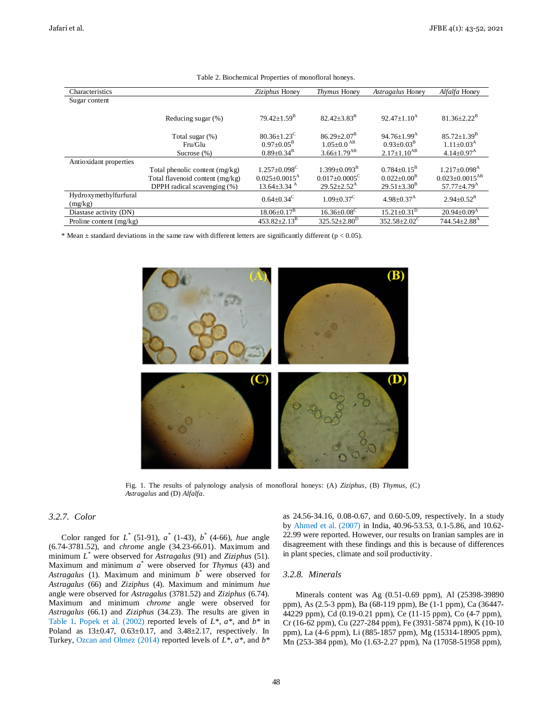| Characteristics                  |                                                                                                    | Ziziphus Honey                                                                                   | Thymus Honey                                                                                   | Astragalus Honey                                                                         | Alfalfa Honey                                                                                   |
|----------------------------------|----------------------------------------------------------------------------------------------------|--------------------------------------------------------------------------------------------------|------------------------------------------------------------------------------------------------|------------------------------------------------------------------------------------------|-------------------------------------------------------------------------------------------------|
| Sugar content                    |                                                                                                    |                                                                                                  |                                                                                                |                                                                                          |                                                                                                 |
|                                  | Reducing sugar (%)                                                                                 | $79.42 \pm 1.59^{\mathrm{B}}$                                                                    | $82.42 \pm 3.83^B$                                                                             | $92.47+1.10A$                                                                            | $81.36 \pm 2.22^{\rm B}$                                                                        |
|                                  | Total sugar (%)<br>Fru/Glu<br>Sucrose $(\%)$                                                       | $80.36 \pm 1.23$ <sup>C</sup><br>$0.97+0.05^{\rm B}$<br>$0.89 + 0.34^{\rm B}$                    | $86.29 \pm 2.07^{\mathrm{B}}$<br>$1.05 + 0.0$ <sup>AB</sup><br>$3.66 \pm 1.79$ <sup>AB</sup>   | $94.76 \pm 1.99$ <sup>A</sup><br>$0.93+0.03^{\rm B}$<br>$2.17+1.10^{AB}$                 | $85.72 \pm 1.39^B$<br>$1.11 \pm 0.03$ <sup>A</sup><br>$4.14 \pm 0.97$ <sup>A</sup>              |
| Antioxidant properties           |                                                                                                    |                                                                                                  |                                                                                                |                                                                                          |                                                                                                 |
|                                  | Total phenolic content $(mg/kg)$<br>Total flavenoid content (mg/kg)<br>DPPH radical scavenging (%) | $1.257 + 0.098$ <sup>C</sup><br>$0.025 \pm 0.0015$ <sup>A</sup><br>$13.64 \pm 3.34$ <sup>A</sup> | $1.399 + 0.093^{\mathrm{B}}$<br>$0.017 \pm 0.0005$ <sup>C</sup><br>$29.52 \pm 2.52^{\text{A}}$ | $0.784 \pm 0.15^{\text{B}}$<br>$0.022 \pm 0.00^{\rm B}$<br>$29.51 \pm 3.30^{\mathrm{B}}$ | $1.217 + 0.098$ <sup>A</sup><br>$0.023 \pm 0.0015$ <sup>AB</sup><br>$57.77 + 4.79$ <sup>A</sup> |
| Hydroxymethylfurfural<br>(mg/kg) |                                                                                                    | $0.64 + 0.34^{\circ}$                                                                            | $1.09 + 0.37^{\circ}$                                                                          | $4.98 \pm 0.37$ <sup>A</sup>                                                             | $2.94 \pm 0.52^{\rm B}$                                                                         |
| Diastase activity (DN)           |                                                                                                    | $18.06 \pm 0.17$ <sup>B</sup>                                                                    | $16.36 \pm 0.08$ <sup>C</sup>                                                                  | $15.21 \pm 0.31$ <sup>D</sup>                                                            | $20.94 \pm 0.09^{\text{A}}$                                                                     |
| Proline content $(mg/kg)$        |                                                                                                    | $453.82 \pm 2.13^{\mathrm{B}}$                                                                   | $325.52 \pm 2.80^{\mathrm{D}}$                                                                 | $352.58 \pm 2.02^{\circ}$                                                                | $744.54 \pm 2.88$ <sup>A</sup>                                                                  |

Table 2. Biochemical Properties of monofloral honeys.

\* Mean  $\pm$  standard deviations in the same raw with different letters are significantly different ( $p < 0.05$ ).



Fig. 1. The results of palynology analysis of monofloral honeys: (A) *Ziziphus*, (B) *Thymus*, (C) *Astragalus* and (D) *Alfalfa*.

## *3.2.7. Color*

Color ranged for  $L^*$  (51-91),  $a^*$  (1-43),  $b^*$  (4-66), *hue* angle (6.74-3781.52), and *chrome* angle (34.23-66.01). Maximum and minimum *L \** were observed for *Astragalus* (91) and *Ziziphus* (51). Maximum and minimum *a \** were observed for *Thymus* (43) and *Astragalus* (1). Maximum and minimum *b \** were observed for *Astragalus* (66) and *Ziziphus* (4). Maximum and minimum *hue*  angle were observed for *Astragalus* (3781.52) and *Ziziphus* (6.74). Maximum and minimum *chrome* angle were observed for *Astragalus* (66.1) and *Ziziphus* (34.23). The results are given in Table 1. Popek et al. (2002) reported levels of *L\**, *a\**, and *b\** in Poland as 13±0.47, 0.63±0.17, and 3.48±2.17, respectively. In Turkey, Ozcan and Olmez (2014) reported levels of *L\**, *a\**, and *b\**

as 24.56-34.16, 0.08-0.67, and 0.60-5.09, respectively. In a study by Ahmed et al. (2007) in India, 40.96-53.53, 0.1-5.86, and 10.62- 22.99 were reported. However, our results on Iranian samples are in disagreement with these findings and this is because of differences in plant species, climate and soil productivity.

## *3.2.8. Minerals*

Minerals content was Ag (0.51-0.69 ppm), Al (25398-39890 ppm), As (2.5-3 ppm), Ba (68-119 ppm), Be (1-1 ppm), Ca (36447- 44229 ppm), Cd (0.19-0.21 ppm), Ce (11-15 ppm), Co (4-7 ppm), Cr (16-62 ppm), Cu (227-284 ppm), Fe (3931-5874 ppm), K (10-10 ppm), La (4-6 ppm), Li (885-1857 ppm), Mg (15314-18905 ppm), Mn (253-384 ppm), Mo (1.63-2.27 ppm), Na (17058-51958 ppm),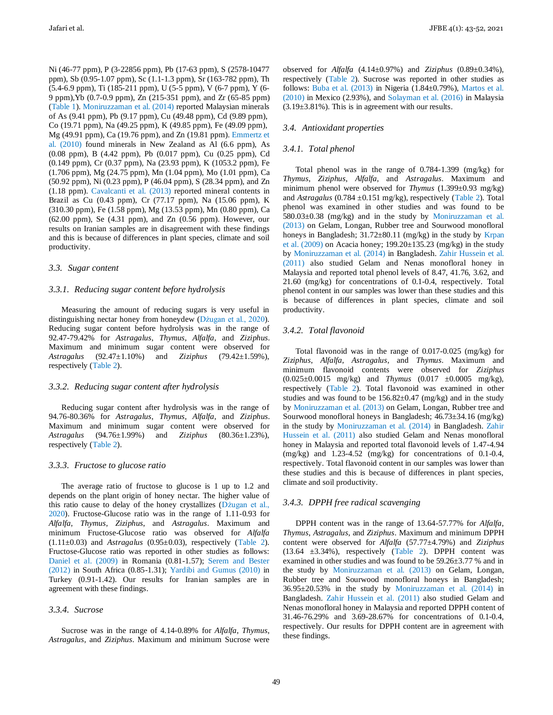Jafari et al. JFBE 4(1): 43-52, 2021

Ni (46-77 ppm), P (3-22856 ppm), Pb (17-63 ppm), S (2578-10477 ppm), Sb (0.95-1.07 ppm), Sc (1.1-1.3 ppm), Sr (163-782 ppm), Th (5.4-6.9 ppm), Ti (185-211 ppm), U (5-5 ppm), V (6-7 ppm), Y (6- 9 ppm),Yb (0.7-0.9 ppm), Zn (215-351 ppm), and Zr (65-85 ppm) (Table 1). Moniruzzaman et al. (2014) reported Malaysian minerals of As (9.41 ppm), Pb (9.17 ppm), Cu (49.48 ppm), Cd (9.89 ppm), Co (19.71 ppm), Na (49.25 ppm), K (49.85 ppm), Fe (49.09 ppm), Mg (49.91 ppm), Ca (19.76 ppm), and Zn (19.81 ppm). Emmertz et al. (2010) found minerals in New Zealand as Al (6.6 ppm), As (0.08 ppm), B (4.42 ppm), Pb (0.017 ppm), Cu (0.25 ppm), Cd (0.149 ppm), Cr (0.37 ppm), Na (23.93 ppm), K (1053.2 ppm), Fe (1.706 ppm), Mg (24.75 ppm), Mn (1.04 ppm), Mo (1.01 ppm), Ca (50.92 ppm), Ni (0.23 ppm), P (46.04 ppm), S (28.34 ppm), and Zn (1.18 ppm). Cavalcanti et al. (2013) reported mineral contents in Brazil as Cu (0.43 ppm), Cr (77.17 ppm), Na (15.06 ppm), K (310.30 ppm), Fe (1.58 ppm), Mg (13.53 ppm), Mn (0.80 ppm), Ca (62.00 ppm), Se (4.31 ppm), and Zn (0.56 ppm). However, our results on Iranian samples are in disagreement with these findings and this is because of differences in plant species, climate and soil productivity.

#### *3.3. Sugar content*

#### *3.3.1. Reducing sugar content before hydrolysis*

Measuring the amount of reducing sugars is very useful in distinguishing nectar honey from honeydew (Dżugan et al., 2020). Reducing sugar content before hydrolysis was in the range of 92.47-79.42% for *Astragalus*, *Thymus*, *Alfalfa*, and *Ziziphus*. Maximum and minimum sugar content were observed for *Astragalus* (92.47±1.10%) and *Ziziphus* (79.42±1.59%), respectively (Table 2).

## *3.3.2. Reducing sugar content after hydrolysis*

Reducing sugar content after hydrolysis was in the range of 94.76-80.36% for *Astragalus*, *Thymus*, *Alfalfa*, and *Ziziphus*. Maximum and minimum sugar content were observed for *Astragalus* (94.76±1.99%) and *Ziziphus* (80.36±1.23%), respectively (Table 2).

#### *3.3.3. Fructose to glucose ratio*

The average ratio of fructose to glucose is 1 up to 1.2 and depends on the plant origin of honey nectar. The higher value of this ratio cause to delay of the honey crystallizes (Dżugan et al., 2020). Fructose-Glucose ratio was in the range of 1.11-0.93 for *Alfalfa*, *Thymus*, *Ziziphus*, and *Astragalus*. Maximum and minimum Fructose-Glucose ratio was observed for *Alfalfa* (1.11±0.03) and *Astragalus* (0.95±0.03), respectively (Table 2). Fructose-Glucose ratio was reported in other studies as follows: Daniel et al. (2009) in Romania (0.81-1.57); Serem and Bester (2012) in South Africa (0.85-1.31); Yardibi and Gumus (2010) in Turkey (0.91-1.42). Our results for Iranian samples are in agreement with these findings.

## *3.3.4. Sucrose*

Sucrose was in the range of 4.14-0.89% for *Alfalfa*, *Thymus*, *Astragalus*, and *Ziziphus*. Maximum and minimum Sucrose were observed for *Alfalfa* (4.14±0.97%) and *Ziziphus* (0.89±0.34%), respectively (Table 2). Sucrose was reported in other studies as follows: Buba et al.  $(2013)$  in Nigeria  $(1.84\pm0.79\%)$ , Martos et al. (2010) in Mexico (2.93%), and Solayman et al. (2016) in Malaysia  $(3.19\pm3.81\%)$ . This is in agreement with our results.

## *3.4. Antioxidant properties*

#### *3.4.1. Total phenol*

Total phenol was in the range of 0.784-1.399 (mg/kg) for *Thymus*, *Ziziphus*, *Alfalfa*, and *Astragalus*. Maximum and minimum phenol were observed for *Thymus* (1.399±0.93 mg/kg) and *Astragalus* (0.784 ±0.151 mg/kg), respectively (Table 2). Total phenol was examined in other studies and was found to be  $580.03 \pm 0.38$  (mg/kg) and in the study by Moniruzzaman et al. (2013) on Gelam, Longan, Rubber tree and Sourwood monofloral honeys in Bangladesh;  $31.72 \pm 80.11$  (mg/kg) in the study by Krpan et al.  $(2009)$  on Acacia honey; 199.20 $\pm$ 135.23 (mg/kg) in the study by Moniruzzaman et al. (2014) in Bangladesh. Zahir Hussein et al. (2011) also studied Gelam and Nenas monofloral honey in Malaysia and reported total phenol levels of 8.47, 41.76, 3.62, and 21.60 (mg/kg) for concentrations of 0.1-0.4, respectively. Total phenol content in our samples was lower than these studies and this is because of differences in plant species, climate and soil productivity.

## *3.4.2. Total flavonoid*

Total flavonoid was in the range of 0.017-0.025 (mg/kg) for *Ziziphus*, *Alfalfa*, *Astragalus*, and *Thymus*. Maximum and minimum flavonoid contents were observed for *Ziziphus* (0.025±0.0015 mg/kg) and *Thymus* (0.017 ±0.0005 mg/kg), respectively (Table 2). Total flavonoid was examined in other studies and was found to be  $156.82 \pm 0.47$  (mg/kg) and in the study by Moniruzzaman et al. (2013) on Gelam, Longan, Rubber tree and Sourwood monofloral honeys in Bangladesh; 46.73±34.16 (mg/kg) in the study by Moniruzzaman et al. (2014) in Bangladesh. Zahir Hussein et al. (2011) also studied Gelam and Nenas monofloral honey in Malaysia and reported total flavonoid levels of 1.47-4.94 (mg/kg) and 1.23-4.52 (mg/kg) for concentrations of 0.1-0.4, respectively. Total flavonoid content in our samples was lower than these studies and this is because of differences in plant species, climate and soil productivity.

## *3.4.3. DPPH free radical scavenging*

DPPH content was in the range of 13.64-57.77% for *Alfalfa*, *Thymus*, *Astragalus*, and *Ziziphus*. Maximum and minimum DPPH content were observed for *Alfalfa* (57.77±4.79%) and *Ziziphus* (13.64 ±3.34%), respectively (Table 2). DPPH content was examined in other studies and was found to be 59.26±3.77 % and in the study by Moniruzzaman et al. (2013) on Gelam, Longan, Rubber tree and Sourwood monofloral honeys in Bangladesh; 36.95±20.53% in the study by Moniruzzaman et al. (2014) in Bangladesh. Zahir Hussein et al. (2011) also studied Gelam and Nenas monofloral honey in Malaysia and reported DPPH content of 31.46-76.29% and 3.69-28.67% for concentrations of 0.1-0.4, respectively. Our results for DPPH content are in agreement with these findings.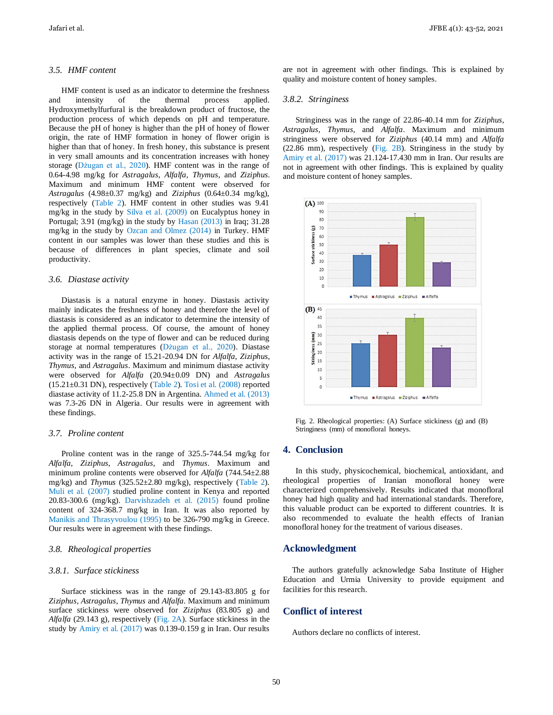## *3.5. HMF content*

HMF content is used as an indicator to determine the freshness and intensity of the thermal process applied. Hydroxymethylfurfural is the breakdown product of fructose, the production process of which depends on pH and temperature. Because the pH of honey is higher than the pH of honey of flower origin, the rate of HMF formation in honey of flower origin is higher than that of honey. In fresh honey, this substance is present in very small amounts and its concentration increases with honey storage (Dżugan et al., 2020). HMF content was in the range of 0.64-4.98 mg/kg for *Astragalus*, *Alfalfa*, *Thymus*, and *Ziziphus*. Maximum and minimum HMF content were observed for *Astragalus* (4.98±0.37 mg/kg) and *Ziziphus* (0.64±0.34 mg/kg), respectively (Table 2). HMF content in other studies was 9.41 mg/kg in the study by Silva et al. (2009) on Eucalyptus honey in Portugal; 3.91 (mg/kg) in the study by Hasan (2013) in Iraq; 31.28 mg/kg in the study by Ozcan and Olmez (2014) in Turkey. HMF content in our samples was lower than these studies and this is because of differences in plant species, climate and soil productivity.

## *3.6. Diastase activity*

Diastasis is a natural enzyme in honey. Diastasis activity mainly indicates the freshness of honey and therefore the level of diastasis is considered as an indicator to determine the intensity of the applied thermal process. Of course, the amount of honey diastasis depends on the type of flower and can be reduced during storage at normal temperatures (Dżugan et al., 2020). Diastase activity was in the range of 15.21-20.94 DN for *Alfalfa*, *Ziziphus*, *Thymus*, and *Astragalus*. Maximum and minimum diastase activity were observed for *Alfalfa* (20.94±0.09 DN) and *Astragalus* (15.21±0.31 DN), respectively (Table 2). Tosi et al. (2008) reported diastase activity of 11.2-25.8 DN in Argentina. Ahmed et al. (2013) was 7.3-26 DN in Algeria. Our results were in agreement with these findings.

#### *3.7. Proline content*

Proline content was in the range of 325.5-744.54 mg/kg for *Alfalfa*, *Ziziphus*, *Astragalus*, and *Thymus*. Maximum and minimum proline contents were observed for *Alfalfa* (744.54±2.88 mg/kg) and *Thymus* (325.52±2.80 mg/kg), respectively (Table 2). Muli et al. (2007) studied proline content in Kenya and reported 20.83-300.6 (mg/kg). Darvishzadeh et al. (2015) found proline content of 324-368.7 mg/kg in Iran. It was also reported by Manikis and Thrasyvoulou (1995) to be 326-790 mg/kg in Greece. Our results were in agreement with these findings.

## *3.8. Rheological properties*

#### *3.8.1. Surface stickiness*

Surface stickiness was in the range of 29.143-83.805 g for *Ziziphus*, *Astragalus*, *Thymus* and *Alfalfa*. Maximum and minimum surface stickiness were observed for *Ziziphus* (83.805 g) and *Alfalfa* (29.143 g), respectively (Fig. 2A). Surface stickiness in the study by Amiry et al. (2017) was 0.139-0.159 g in Iran. Our results

are not in agreement with other findings. This is explained by quality and moisture content of honey samples.

#### *3.8.2. Stringiness*

Stringiness was in the range of 22.86-40.14 mm for *Ziziphus*, *Astragalus*, *Thymus*, and *Alfalfa*. Maximum and minimum stringiness were observed for *Ziziphus* (40.14 mm) and *Alfalfa* (22.86 mm), respectively (Fig. 2B). Stringiness in the study by Amiry et al. (2017) was 21.124-17.430 mm in Iran. Our results are not in agreement with other findings. This is explained by quality and moisture content of honey samples.



Fig. 2. Rheological properties: (A) Surface stickiness (g) and (B) Stringiness (mm) of monofloral honeys.

## **4. Conclusion**

In this study, physicochemical, biochemical, antioxidant, and rheological properties of Iranian monofloral honey were characterized comprehensively. Results indicated that monofloral honey had high quality and had international standards. Therefore, this valuable product can be exported to different countries. It is also recommended to evaluate the health effects of Iranian monofloral honey for the treatment of various diseases.

## **Acknowledgment**

The authors gratefully acknowledge Saba Institute of Higher Education and Urmia University to provide equipment and facilities for this research.

# **Conflict of interest**

Authors declare no conflicts of interest.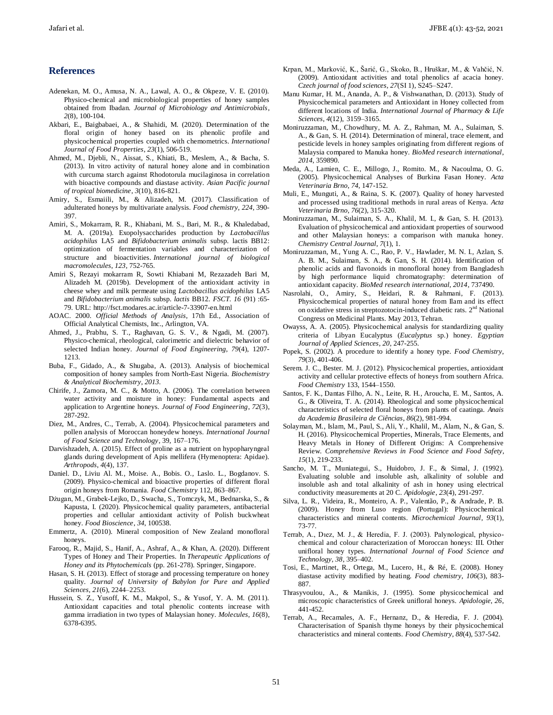## **References**

- Adenekan, M. O., Amusa, N. A., Lawal, A. O., & Okpeze, V. E. (2010). Physico-chemical and microbiological properties of honey samples obtained from Ibadan. *Journal of Microbiology and Antimicrobials*, *2*(8), 100-104.
- Akbari, E., Baigbabaei, A., & Shahidi, M. (2020). Determination of the floral origin of honey based on its phenolic profile and physicochemical properties coupled with chemometrics. *International Journal of Food Properties*, *23*(1), 506-519.
- Ahmed, M., Djebli, N., Aissat, S., Khiati, B., Meslem, A., & Bacha, S. (2013). In vitro activity of natural honey alone and in combination with curcuma starch against Rhodotorula mucilaginosa in correlation with bioactive compounds and diastase activity. *Asian Pacific journal of tropical biomedicine*, *3*(10), 816-821.
- Amiry, S., Esmaiili, M., & Alizadeh, M. (2017). Classification of adulterated honeys by multivariate analysis. *Food chemistry, 224*, 390- 397.
- Amiri, S., Mokarram, R. R., Khiabani, M. S., Bari, M. R., & Khaledabad, M. A. (2019a). Exopolysaccharides production by *Lactobacillus acidophilus* LA5 and *Bifidobacterium animalis* subsp. lactis BB12: optimization of fermentation variables and characterization of structure and bioactivities. *International journal of biological macromolecules*, *123*, 752-765.
- Amiri S, Rezayi mokarram R, Sowti Khiabani M, Rezazadeh Bari M, Alizadeh M. (2019b). Development of the antioxidant activity in cheese whey and milk permeate using *Lactobacillus acidophilus* LA5 and *Bifidobacterium animalis* subsp. *lactis* BB12. *FSCT. 16* (91) :65- 79. URL: http://fsct.modares.ac.ir/article-7-33907-en.html
- AOAC. 2000. *Official Methods of Analysis*, 17th Ed., Association of Official Analytical Chemists, Inc., Arlington, VA.
- Ahmed, J., Prabhu, S. T., Raghavan, G. S. V., & Ngadi, M. (2007). Physico-chemical, rheological, calorimetric and dielectric behavior of selected Indian honey. *Journal of Food Engineering*, *79*(4), 1207- 1213.
- Buba, F., Gidado, A., & Shugaba, A. (2013). Analysis of biochemical composition of honey samples from North-East Nigeria. *Biochemistry & Analytical Biochemistry*, *2013*.
- Chirife, J., Zamora, M. C., & Motto, A. (2006). The correlation between water activity and moisture in honey: Fundamental aspects and application to Argentine honeys. *Journal of Food Engineering*, *72*(3), 287-292.
- Diez, M., Andres, C., Terrab, A. (2004). Physicochemical parameters and pollen analysis of Moroccan honeydew honeys. *International Journal of Food Science and Technology*, 39*,* 167–176.
- Darvishzadeh, A. (2015). Effect of proline as a nutrient on hypopharyngeal glands during development of Apis mellifera (Hymenoptera: Apidae). *Arthropods*, *4*(4), 137.
- Daniel. D., Liviu Al. M., Moise. A., Bobis. O., Laslo. L., Bogdanov. S. (2009). Physico-chemical and bioactive properties of different floral origin honeys from Romania*. Food Chemistry* 112, 863–867.
- Dżugan, M., Grabek-Lejko, D., Swacha, S., Tomczyk, M., Bednarska, S., & Kapusta, I. (2020). Physicochemical quality parameters, antibacterial properties and cellular antioxidant activity of Polish buckwheat honey. *Food Bioscience*, *34*, 100538.
- Emmertz, A. (2010). Mineral composition of New Zealand monofloral honeys.
- Farooq, R., Majid, S., Hanif, A., Ashraf, A., & Khan, A. (2020). Different Types of Honey and Their Properties. In *Therapeutic Applications of Honey and its Phytochemicals* (pp. 261-278). Springer, Singapore.
- Hasan, S. H. (2013). Effect of storage and processing temperature on honey quality. *Journal of University of Babylon for Pure and Applied Sciences*, *21*(6), 2244–2253.
- Hussein, S. Z., Yusoff, K. M., Makpol, S., & Yusof, Y. A. M. (2011). Antioxidant capacities and total phenolic contents increase with gamma irradiation in two types of Malaysian honey. *Molecules*, *16*(8), 6378-6395.
- Krpan, M., Marković, K., Šarić, G., Skoko, B., Hruškar, M., & Vahčić, N. (2009). Antioxidant activities and total phenolics af acacia honey. *Czech journal of food sciences*, *27*(SI 1), S245–S247.
- Manu Kumar, H. M., Ananda, A. P., & Vishwanathan, D. (2013). Study of Physicochemical parameters and Antioxidant in Honey collected from different locations of India. *International Journal of Pharmacy & Life Sciences*, *4*(12), 3159–3165.
- Moniruzzaman, M., Chowdhury, M. A. Z., Rahman, M. A., Sulaiman, S. A., & Gan, S. H. (2014). Determination of mineral, trace element, and pesticide levels in honey samples originating from different regions of Malaysia compared to Manuka honey. *BioMed research international*, *2014*, 359890.
- Meda, A., Lamien, C. E., Millogo, J., Romito. M., & Nacoulma, O. G. (2005). Physicochemical Analyses of Burkina Fasan Honey*. Acta Veterinaria Brno*, *74*, 147-152.
- Muli, E., Munguti, A., & Raina, S. K. (2007). Quality of honey harvested and processed using traditional methods in rural areas of Kenya. *Acta Veterinaria Brno*, *76*(2), 315-320.
- Moniruzzaman, M., Sulaiman, S. A., Khalil, M. I., & Gan, S. H. (2013). Evaluation of physicochemical and antioxidant properties of sourwood and other Malaysian honeys: a comparison with manuka honey. *Chemistry Central Journal*, *7*(1), 1.
- Moniruzzaman, M., Yung A. C., Rao, P. V., Hawlader, M. N. I., Azlan, S. A. B. M., Sulaiman, S. A., & Gan, S. H. (2014). Identification of phenolic acids and flavonoids in monofloral honey from Bangladesh by high performance liquid chromatography: determination of antioxidant capacity. *BioMed research international*, *2014*, 737490.
- Nasrolahi, O., Amiry, S., Heidari, R. & Rahmani, F. (2013). Physicochemical properties of natural honey from Ilam and its effect on oxidative stress in streptozotocin-induced diabetic rats.  $2<sup>nd</sup>$  National Congress on Medicinal Plants. May 2013, Tehran.
- Owayss, A. A. (2005). Physicochemical analysis for standardizing quality criteria of Libyan Eucalyptus (*Eucalyptus* sp.) honey. *Egyptian Journal of Applied Sciences*, *20*, 247-255.
- Popek, S. (2002). A procedure to identify a honey type. *Food Chemistry*, *79*(3), 401-406.
- Serem. J. C., Bester. M. J. (2012). Physicochemical properties, antioxidant activity and cellular protective effects of honeys from southern Africa. *Food Chemistry* 133, 1544–1550.
- Santos, F. K., Dantas Filho, A. N., Leite, R. H., Aroucha, E. M., Santos, A. G., & Oliveira, T. A. (2014). Rheological and some physicochemical characteristics of selected floral honeys from plants of caatinga. *Anais da Academia Brasileira de Ciências*, *86*(2), 981-994.
- Solayman, M., Islam, M., Paul, S., Ali, Y., Khalil, M., Alam, N., & Gan, S. H. (2016). Physicochemical Properties, Minerals, Trace Elements, and Heavy Metals in Honey of Different Origins: A Comprehensive Review. *Comprehensive Reviews in Food Science and Food Safety*, *15*(1), 219-233.
- Sancho, M. T., Muniategui, S., Huidobro, J. F., & Simal, J. (1992). Evaluating soluble and insoluble ash, alkalinity of soluble and insoluble ash and total alkalinity of ash in honey using electrical conductivity measurements at 20 C. *Apidologie*, *23*(4), 291-297.
- Silva, L. R., Videira, R., Monteiro, A. P., Valentão, P., & Andrade, P. B. (2009). Honey from Luso region (Portugal): Physicochemical characteristics and mineral contents. *Microchemical Journal*, *93*(1), 73-77.
- Terrab, A., Dıez, M. J., & Heredia, F. J. (2003). Palynological, physicochemical and colour characterization of Moroccan honeys: III. Other unifloral honey types. *International Journal of Food Science and Technology*, *38*, 395–402.
- Tosi, E., Martinet, R., Ortega, M., Lucero, H., & Ré, E. (2008). Honey diastase activity modified by heating. *Food chemistry*, *106*(3), 883- 887.
- Thrasyvoulou, A., & Manikis, J. (1995). Some physicochemical and microscopic characteristics of Greek unifloral honeys. *Apidologie*, *26*, 441-452.
- Terrab, A., Recamales, A. F., Hernanz, D., & Heredia, F. J. (2004). Characterisation of Spanish thyme honeys by their physicochemical characteristics and mineral contents. *Food Chemistry*, *88*(4), 537-542.